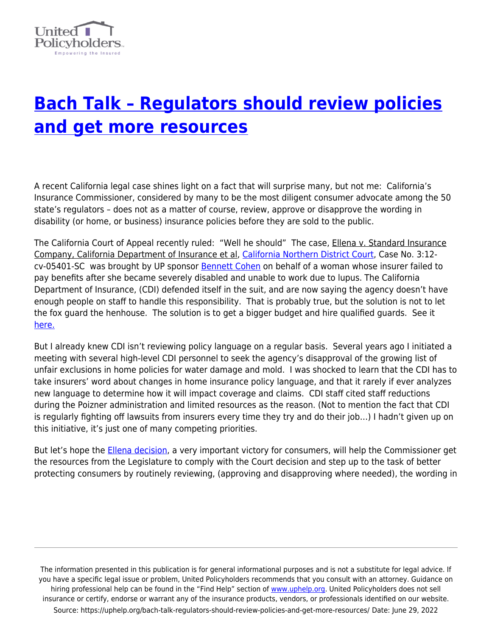

## **[Bach Talk – Regulators should review policies](https://uphelp.org/bach-talk-regulators-should-review-policies-and-get-more-resources/) [and get more resources](https://uphelp.org/bach-talk-regulators-should-review-policies-and-get-more-resources/)**

A recent California legal case shines light on a fact that will surprise many, but not me: California's Insurance Commissioner, considered by many to be the most diligent consumer advocate among the 50 state's regulators – does not as a matter of course, review, approve or disapprove the wording in disability (or home, or business) insurance policies before they are sold to the public.

The California Court of Appeal recently ruled: "Well he should" The case, Ellena v. Standard Insurance Company, California Department of Insurance et al, [California Northern District Court](http://www.plainsite.org/courts/california-northern-district-court/), Case No. 3:12 cv-05401-SC was brought by UP sponsor [Bennett Cohen](http://uphelp.org/sponsor/bennett-m-cohen-attorney-law?state=California) on behalf of a woman whose insurer failed to pay benefits after she became severely disabled and unable to work due to lupus. The California Department of Insurance, (CDI) defended itself in the suit, and are now saying the agency doesn't have enough people on staff to handle this responsibility. That is probably true, but the solution is not to let the fox guard the henhouse. The solution is to get a bigger budget and hire qualified guards. See it [here.](http://www.jdsupra.com/legalnews/should-the-insurance-commissioner-actual-28169/)

But I already knew CDI isn't reviewing policy language on a regular basis. Several years ago I initiated a meeting with several high-level CDI personnel to seek the agency's disapproval of the growing list of unfair exclusions in home policies for water damage and mold. I was shocked to learn that the CDI has to take insurers' word about changes in home insurance policy language, and that it rarely if ever analyzes new language to determine how it will impact coverage and claims. CDI staff cited staff reductions during the Poizner administration and limited resources as the reason. (Not to mention the fact that CDI is regularly fighting off lawsuits from insurers every time they try and do their job…) I hadn't given up on this initiative, it's just one of many competing priorities.

But let's hope the **Ellena decision**, a very important victory for consumers, will help the Commissioner get the resources from the Legislature to comply with the Court decision and step up to the task of better protecting consumers by routinely reviewing, (approving and disapproving where needed), the wording in

The information presented in this publication is for general informational purposes and is not a substitute for legal advice. If you have a specific legal issue or problem, United Policyholders recommends that you consult with an attorney. Guidance on hiring professional help can be found in the "Find Help" section of [www.uphelp.org.](http://www.uphelp.org/) United Policyholders does not sell insurance or certify, endorse or warrant any of the insurance products, vendors, or professionals identified on our website. Source: https://uphelp.org/bach-talk-regulators-should-review-policies-and-get-more-resources/ Date: June 29, 2022